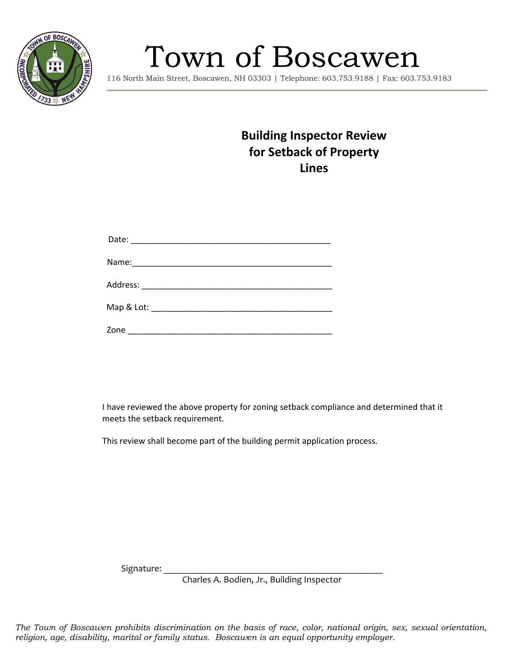

## Town of Boscawen

116 North Main Street, Boscawen, NH 03303 | Telephone: 603.753.9188 | Fax: 603.753.9183

## **Building Inspector Review for Setback of Property Lines**

| Map & Lot: _________________________________ |  |  |  |
|----------------------------------------------|--|--|--|
| Zone                                         |  |  |  |

I have reviewed the above property for zoning setback compliance and determined that it meets the setback requirement.

This review shall become part of the building permit application process.

Signature:

Charles A. Bodien, Jr., Building Inspector

*The Town of Boscawen prohibits discrimination on the basis of race, color, national origin, sex, sexual orientation, religion, age, disability, marital or family status. Boscawen is an equal opportunity employer.*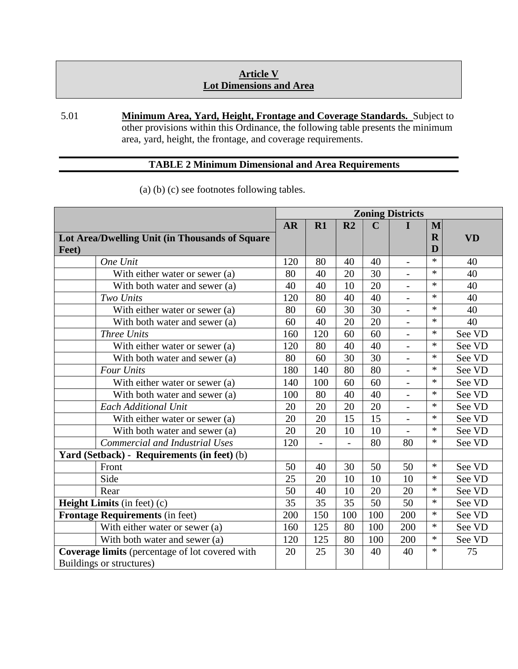## **Article V Lot Dimensions and Area**

5.01 **Minimum Area, Yard, Height, Frontage and Coverage Standards.** Subject to other provisions within this Ordinance, the following table presents the minimum area, yard, height, the frontage, and coverage requirements.

## **TABLE 2 Minimum Dimensional and Area Requirements**

|                                                        |                                       |           | <b>Zoning Districts</b> |                          |             |                          |             |           |  |  |
|--------------------------------------------------------|---------------------------------------|-----------|-------------------------|--------------------------|-------------|--------------------------|-------------|-----------|--|--|
|                                                        |                                       | <b>AR</b> | R1                      | R <sub>2</sub>           | $\mathbf C$ |                          | M           |           |  |  |
| Lot Area/Dwelling Unit (in Thousands of Square         |                                       |           |                         |                          |             |                          | $\mathbf R$ | <b>VD</b> |  |  |
| Feet)                                                  |                                       |           |                         |                          |             |                          | D           |           |  |  |
|                                                        | One Unit                              | 120       | 80                      | 40                       | 40          |                          | $\ast$      | 40        |  |  |
|                                                        | With either water or sewer (a)        |           | 40                      | 20                       | 30          |                          | $\ast$      | 40        |  |  |
|                                                        | With both water and sewer (a)         |           | 40                      | 10                       | 20          | $\overline{\phantom{a}}$ | $\ast$      | 40        |  |  |
|                                                        | Two Units                             |           | 80                      | 40                       | 40          |                          | $\ast$      | 40        |  |  |
|                                                        | With either water or sewer (a)        |           | 60                      | 30                       | 30          | $\overline{\phantom{a}}$ | $\ast$      | 40        |  |  |
|                                                        | With both water and sewer (a)         |           | 40                      | 20                       | 20          |                          | $\ast$      | 40        |  |  |
|                                                        | <b>Three Units</b>                    |           | 120                     | 60                       | 60          | $\overline{\phantom{a}}$ | $\ast$      | See VD    |  |  |
|                                                        | With either water or sewer (a)        |           | 80                      | 40                       | 40          |                          | $\ast$      | See VD    |  |  |
|                                                        | With both water and sewer (a)         |           | 60                      | 30                       | 30          |                          | $\ast$      | See VD    |  |  |
|                                                        | <b>Four Units</b>                     |           | 140                     | 80                       | 80          | $\blacksquare$           | $\ast$      | See VD    |  |  |
|                                                        | With either water or sewer (a)        |           | 100                     | 60                       | 60          | $\overline{\phantom{a}}$ | $\ast$      | See VD    |  |  |
|                                                        | With both water and sewer (a)         |           | 80                      | 40                       | 40          | $\overline{\phantom{a}}$ | $\ast$      | See VD    |  |  |
|                                                        | <b>Each Additional Unit</b>           |           | 20                      | 20                       | 20          | $\overline{a}$           | $\ast$      | See VD    |  |  |
|                                                        | With either water or sewer (a)        |           | 20                      | 15                       | 15          | $\blacksquare$           | $\ast$      | See VD    |  |  |
|                                                        | With both water and sewer (a)         |           | 20                      | 10                       | 10          |                          | $\ast$      | See VD    |  |  |
|                                                        | <b>Commercial and Industrial Uses</b> |           | $\overline{a}$          | $\overline{\phantom{0}}$ | 80          | 80                       | $\ast$      | See VD    |  |  |
| Yard (Setback) - Requirements (in feet) (b)            |                                       |           |                         |                          |             |                          |             |           |  |  |
|                                                        | Front                                 | 50        | 40                      | 30                       | 50          | 50                       | $\ast$      | See VD    |  |  |
|                                                        | Side                                  | 25        | 20                      | 10                       | 10          | 10                       | $\ast$      | See VD    |  |  |
|                                                        | Rear                                  | 50        | 40                      | 10                       | 20          | 20                       | $\ast$      | See VD    |  |  |
| Height Limits (in feet) (c)                            |                                       | 35        | 35                      | 35                       | 50          | 50                       | $\ast$      | See VD    |  |  |
| <b>Frontage Requirements (in feet)</b>                 |                                       | 200       | 150                     | 100                      | 100         | 200                      | $\ast$      | See VD    |  |  |
|                                                        | With either water or sewer (a)        | 160       | 125                     | 80                       | 100         | 200                      | $\ast$      | See VD    |  |  |
|                                                        | With both water and sewer (a)         | 120       | 125                     | 80                       | 100         | 200                      | $\ast$      | See VD    |  |  |
| <b>Coverage limits</b> (percentage of lot covered with |                                       | 20        | 25                      | 30                       | 40          | 40                       | $\ast$      | 75        |  |  |
| Buildings or structures)                               |                                       |           |                         |                          |             |                          |             |           |  |  |

(a) (b) (c) see footnotes following tables.